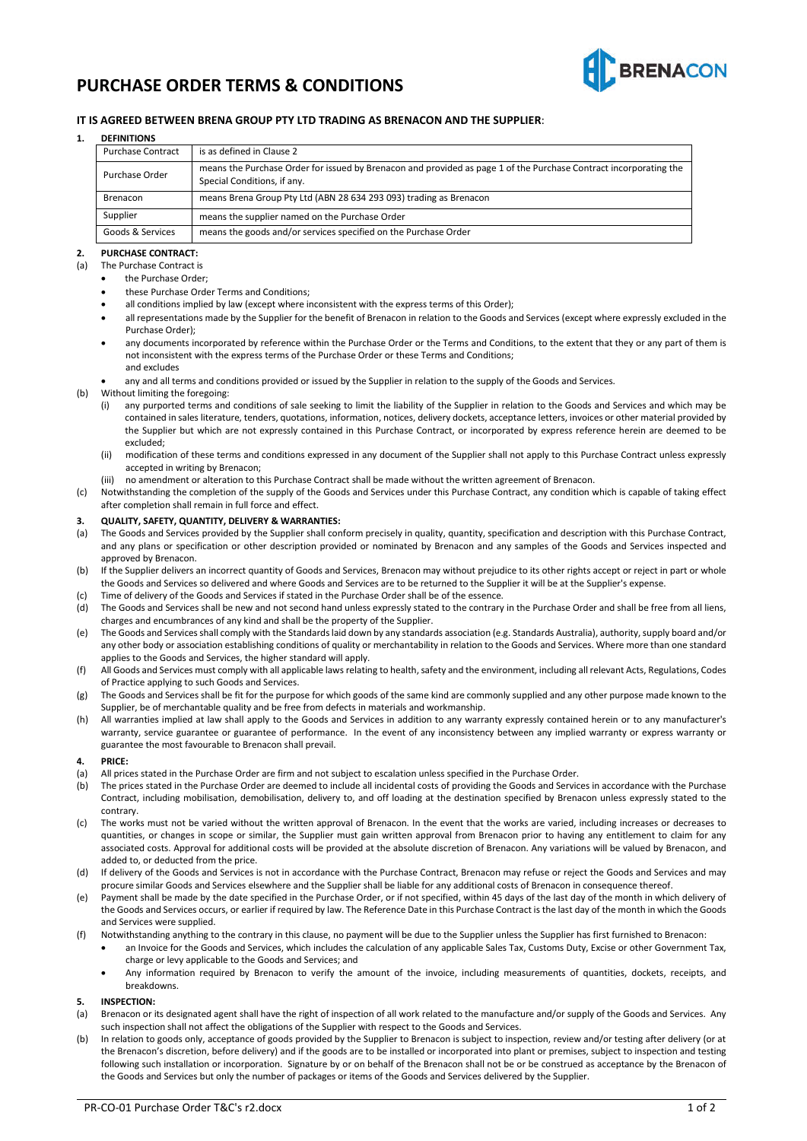

# **PURCHASE ORDER TERMS & CONDITIONS**

# **IT IS AGREED BETWEEN BRENA GROUP PTY LTD TRADING AS BRENACON AND THE SUPPLIER**:

#### **1. DEFINITIONS**

| <b>Purchase Contract</b> | is as defined in Clause 2                                                                                                                        |
|--------------------------|--------------------------------------------------------------------------------------------------------------------------------------------------|
| Purchase Order           | means the Purchase Order for issued by Brenacon and provided as page 1 of the Purchase Contract incorporating the<br>Special Conditions, if any. |
| Brenacon                 | means Brena Group Pty Ltd (ABN 28 634 293 093) trading as Brenacon                                                                               |
| Supplier                 | means the supplier named on the Purchase Order                                                                                                   |
| Goods & Services         | means the goods and/or services specified on the Purchase Order                                                                                  |
|                          |                                                                                                                                                  |

#### **2. PURCHASE CONTRACT:**

- (a) The Purchase Contract is
	- the Purchase Order;
	- these Purchase Order Terms and Conditions;
	- all conditions implied by law (except where inconsistent with the express terms of this Order);
	- all representations made by the Supplier for the benefit of Brenacon in relation to the Goods and Services (except where expressly excluded in the Purchase Order);
	- any documents incorporated by reference within the Purchase Order or the Terms and Conditions, to the extent that they or any part of them is not inconsistent with the express terms of the Purchase Order or these Terms and Conditions; and excludes
	- any and all terms and conditions provided or issued by the Supplier in relation to the supply of the Goods and Services.
- (b) Without limiting the foregoing:
	- (i) any purported terms and conditions of sale seeking to limit the liability of the Supplier in relation to the Goods and Services and which may be contained in sales literature, tenders, quotations, information, notices, delivery dockets, acceptance letters, invoices or other material provided by the Supplier but which are not expressly contained in this Purchase Contract, or incorporated by express reference herein are deemed to be excluded;
	- (ii) modification of these terms and conditions expressed in any document of the Supplier shall not apply to this Purchase Contract unless expressly accepted in writing by Brenacon;
	- (iii) no amendment or alteration to this Purchase Contract shall be made without the written agreement of Brenacon.
- (c) Notwithstanding the completion of the supply of the Goods and Services under this Purchase Contract, any condition which is capable of taking effect after completion shall remain in full force and effect.

#### **3. QUALITY, SAFETY, QUANTITY, DELIVERY & WARRANTIES:**

- (a) The Goods and Services provided by the Supplier shall conform precisely in quality, quantity, specification and description with this Purchase Contract, and any plans or specification or other description provided or nominated by Brenacon and any samples of the Goods and Services inspected and approved by Brenacon.
- (b) If the Supplier delivers an incorrect quantity of Goods and Services, Brenacon may without prejudice to its other rights accept or reject in part or whole the Goods and Services so delivered and where Goods and Services are to be returned to the Supplier it will be at the Supplier's expense.
- (c) Time of delivery of the Goods and Services if stated in the Purchase Order shall be of the essence.
- (d) The Goods and Services shall be new and not second hand unless expressly stated to the contrary in the Purchase Order and shall be free from all liens, charges and encumbrances of any kind and shall be the property of the Supplier.
- (e) The Goods and Services shall comply with the Standards laid down by any standards association (e.g. Standards Australia), authority, supply board and/or any other body or association establishing conditions of quality or merchantability in relation to the Goods and Services. Where more than one standard applies to the Goods and Services, the higher standard will apply.
- (f) All Goods and Services must comply with all applicable laws relating to health, safety and the environment, including all relevant Acts, Regulations, Codes of Practice applying to such Goods and Services.
- (g) The Goods and Services shall be fit for the purpose for which goods of the same kind are commonly supplied and any other purpose made known to the Supplier, be of merchantable quality and be free from defects in materials and workmanship.
- (h) All warranties implied at law shall apply to the Goods and Services in addition to any warranty expressly contained herein or to any manufacturer's warranty, service guarantee or guarantee of performance. In the event of any inconsistency between any implied warranty or express warranty or guarantee the most favourable to Brenacon shall prevail.

#### **4. PRICE:**

- (a) All prices stated in the Purchase Order are firm and not subject to escalation unless specified in the Purchase Order.
- (b) The prices stated in the Purchase Order are deemed to include all incidental costs of providing the Goods and Services in accordance with the Purchase Contract, including mobilisation, demobilisation, delivery to, and off loading at the destination specified by Brenacon unless expressly stated to the contrary.
- (c) The works must not be varied without the written approval of Brenacon. In the event that the works are varied, including increases or decreases to quantities, or changes in scope or similar, the Supplier must gain written approval from Brenacon prior to having any entitlement to claim for any associated costs. Approval for additional costs will be provided at the absolute discretion of Brenacon. Any variations will be valued by Brenacon, and added to, or deducted from the price.
- (d) If delivery of the Goods and Services is not in accordance with the Purchase Contract, Brenacon may refuse or reject the Goods and Services and may procure similar Goods and Services elsewhere and the Supplier shall be liable for any additional costs of Brenacon in consequence thereof.
- (e) Payment shall be made by the date specified in the Purchase Order, or if not specified, within 45 days of the last day of the month in which delivery of the Goods and Services occurs, or earlier if required by law. The Reference Date in this Purchase Contract is the last day of the month in which the Goods and Services were supplied.
- (f) Notwithstanding anything to the contrary in this clause, no payment will be due to the Supplier unless the Supplier has first furnished to Brenacon:
	- an Invoice for the Goods and Services, which includes the calculation of any applicable Sales Tax, Customs Duty, Excise or other Government Tax, charge or levy applicable to the Goods and Services; and
	- Any information required by Brenacon to verify the amount of the invoice, including measurements of quantities, dockets, receipts, and breakdowns.

#### **5. INSPECTION:**

- Brenacon or its designated agent shall have the right of inspection of all work related to the manufacture and/or supply of the Goods and Services. Any such inspection shall not affect the obligations of the Supplier with respect to the Goods and Services.
- (b) In relation to goods only, acceptance of goods provided by the Supplier to Brenacon is subject to inspection, review and/or testing after delivery (or at the Brenacon's discretion, before delivery) and if the goods are to be installed or incorporated into plant or premises, subject to inspection and testing following such installation or incorporation. Signature by or on behalf of the Brenacon shall not be or be construed as acceptance by the Brenacon of the Goods and Services but only the number of packages or items of the Goods and Services delivered by the Supplier.